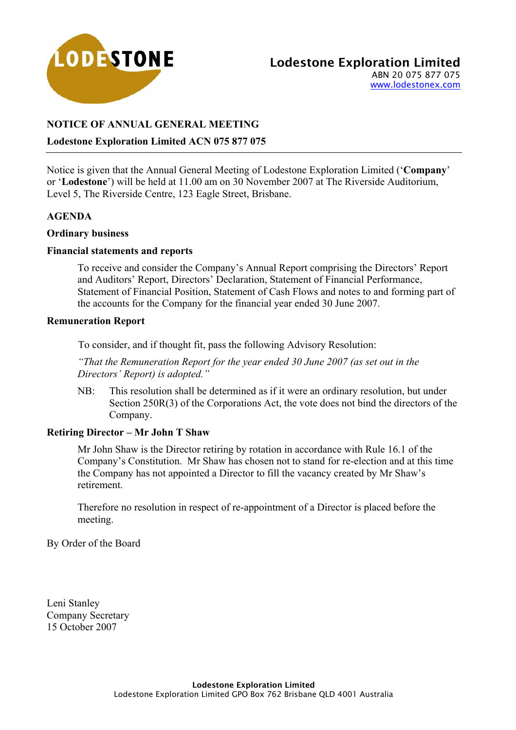

# **NOTICE OF ANNUAL GENERAL MEETING**

## **Lodestone Exploration Limited ACN 075 877 075**

Notice is given that the Annual General Meeting of Lodestone Exploration Limited ('**Company**' or '**Lodestone**') will be held at 11.00 am on 30 November 2007 at The Riverside Auditorium, Level 5, The Riverside Centre, 123 Eagle Street, Brisbane.

## **AGENDA**

## **Ordinary business**

## **Financial statements and reports**

To receive and consider the Company's Annual Report comprising the Directors' Report and Auditors' Report, Directors' Declaration, Statement of Financial Performance, Statement of Financial Position, Statement of Cash Flows and notes to and forming part of the accounts for the Company for the financial year ended 30 June 2007.

## **Remuneration Report**

To consider, and if thought fit, pass the following Advisory Resolution:

*"That the Remuneration Report for the year ended 30 June 2007 (as set out in the Directors' Report) is adopted."*

NB: This resolution shall be determined as if it were an ordinary resolution, but under Section 250R(3) of the Corporations Act, the vote does not bind the directors of the Company.

## **Retiring Director – Mr John T Shaw**

Mr John Shaw is the Director retiring by rotation in accordance with Rule 16.1 of the Company's Constitution. Mr Shaw has chosen not to stand for re-election and at this time the Company has not appointed a Director to fill the vacancy created by Mr Shaw's retirement.

Therefore no resolution in respect of re-appointment of a Director is placed before the meeting.

By Order of the Board

Leni Stanley Company Secretary 15 October 2007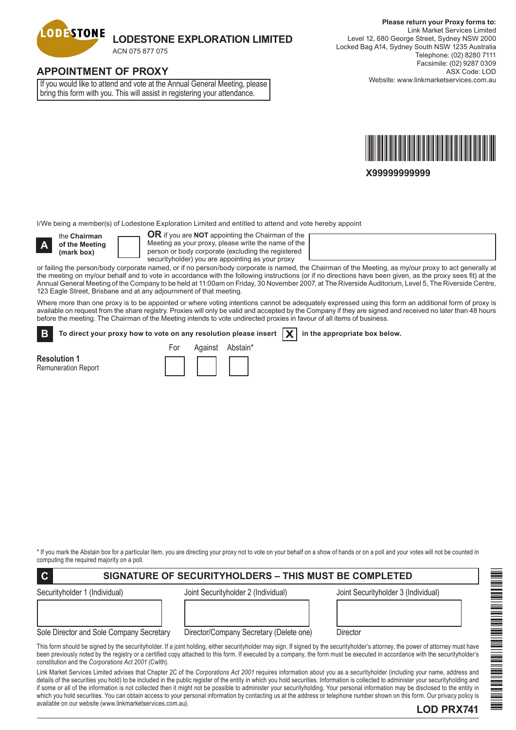

# **APPOINTMENT OF PROXY**

If you would like to attend and vote at the Annual General Meeting, please bring this form with you. This will assist in registering your attendance.



**X99999999999**

I/We being a member(s) of Lodestone Exploration Limited and entitled to attend and vote hereby appoint

**A**

the **Chairman of the Meeting (mark box)**

**OR** if you are **NOT** appointing the Chairman of the Meeting as your proxy, please write the name of the person or body corporate (excluding the registered securityholder) you are appointing as your proxy

or failing the person/body corporate named, or if no person/body corporate is named, the Chairman of the Meeting, as my/our proxy to act generally at the meeting on my/our behalf and to vote in accordance with the following instructions (or if no directions have been given, as the proxy sees fit) at the Annual General Meeting of the Company to be held at 11:00am on Friday, 30 November 2007, at The Riverside Auditorium, Level 5, The Riverside Centre, 123 Eagle Street, Brisbane and at any adjournment of that meeting.

Where more than one proxy is to be appointed or where voting intentions cannot be adequately expressed using this form an additional form of proxy is available on request from the share registry. Proxies will only be valid and accepted by the Company if they are signed and received no later than 48 hours before the meeting. The Chairman of the Meeting intends to vote undirected proxies in favour of all items of business.

To direct your proxy how to vote on any resolution please insert  $\boxed{\mathbf{X}}$  in the appropriate box below. **B**

**Resolution 1** Remuneration Report

| For | Against | Abstain* |
|-----|---------|----------|
|     |         |          |

\* If you mark the Abstain box for a particular Item, you are directing your proxy not to vote on your behalf on a show of hands or on a poll and your votes will not be counted in computing the required majority on a poll.

| I C<br>SIGNATURE OF SECURITYHOLDERS – THIS MUST BE COMPLETED |                                         |                                                                                                                                                                                                                                                                                                                                                                   |  |  |  |
|--------------------------------------------------------------|-----------------------------------------|-------------------------------------------------------------------------------------------------------------------------------------------------------------------------------------------------------------------------------------------------------------------------------------------------------------------------------------------------------------------|--|--|--|
| Securityholder 1 (Individual)                                | Joint Securityholder 2 (Individual)     | Joint Securityholder 3 (Individual)                                                                                                                                                                                                                                                                                                                               |  |  |  |
| Sole Director and Sole Company Secretary                     | Director/Company Secretary (Delete one) | Director                                                                                                                                                                                                                                                                                                                                                          |  |  |  |
| constitution and the Corporations Act 2001 (Cwlth).          |                                         | This form should be signed by the securityholder. If a joint holding, either securityholder may sign. If signed by the securityholder's attorney, the power of attorney must have<br>been previously noted by the registry or a certified copy attached to this form. If executed by a company, the form must be executed in accordance with the securityholder's |  |  |  |
|                                                              |                                         | Link Market Services Limited advises that Chapter 2C of the Corporations Act 2001 requires information about you as a securityholder (including your name, address and                                                                                                                                                                                            |  |  |  |

luded in the public register of the entity in which you hold securities. Information is collected to administer your securityholding and if some or all of the information is not collected then it might not be possible to administer your securityholding. Your personal information may be disclosed to the entity in which you hold securities. You can obtain access to your personal information by contacting us at the address or telephone number shown on this form. Our privacy policy is available on our website (www.linkmarketservices.com.au).

# IN THE REAL PROPERTY OF A STATE OF A STATE OF A STATE OF A STATE OF A STATE OF A STATE OF A STATE OF A STATE O \*LOD PRX741\*

## **LOD PRX741**